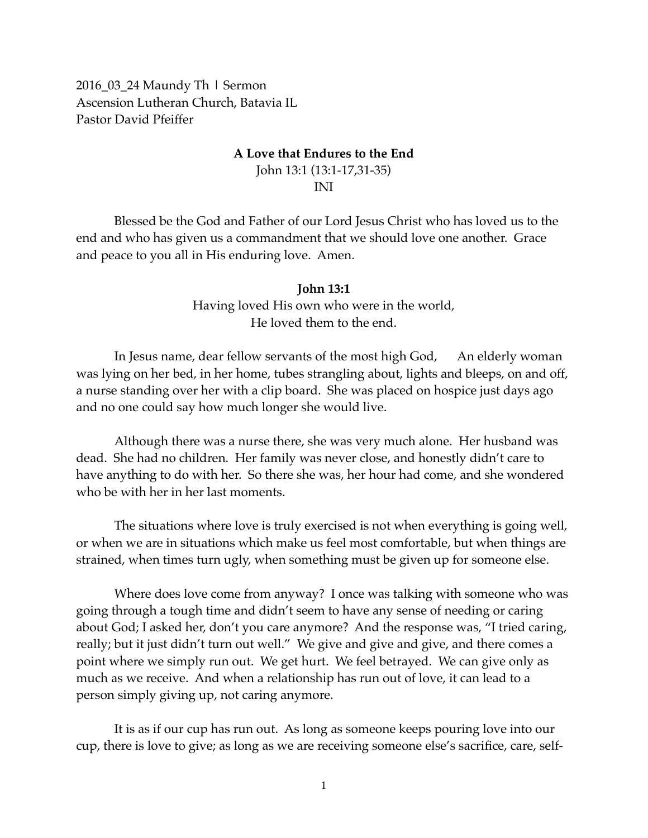2016\_03\_24 Maundy Th | Sermon Ascension Lutheran Church, Batavia IL Pastor David Pfeiffer

## **A Love that Endures to the End**

John 13:1 (13:1-17,31-35) INI

Blessed be the God and Father of our Lord Jesus Christ who has loved us to the end and who has given us a commandment that we should love one another. Grace and peace to you all in His enduring love. Amen.

## **John 13:1** Having loved His own who were in the world, He loved them to the end.

In Jesus name, dear fellow servants of the most high God, An elderly woman was lying on her bed, in her home, tubes strangling about, lights and bleeps, on and off, a nurse standing over her with a clip board. She was placed on hospice just days ago and no one could say how much longer she would live.

Although there was a nurse there, she was very much alone. Her husband was dead. She had no children. Her family was never close, and honestly didn't care to have anything to do with her. So there she was, her hour had come, and she wondered who be with her in her last moments.

The situations where love is truly exercised is not when everything is going well, or when we are in situations which make us feel most comfortable, but when things are strained, when times turn ugly, when something must be given up for someone else.

Where does love come from anyway? I once was talking with someone who was going through a tough time and didn't seem to have any sense of needing or caring about God; I asked her, don't you care anymore? And the response was, "I tried caring, really; but it just didn't turn out well." We give and give and give, and there comes a point where we simply run out. We get hurt. We feel betrayed. We can give only as much as we receive. And when a relationship has run out of love, it can lead to a person simply giving up, not caring anymore.

It is as if our cup has run out. As long as someone keeps pouring love into our cup, there is love to give; as long as we are receiving someone else's sacrifice, care, self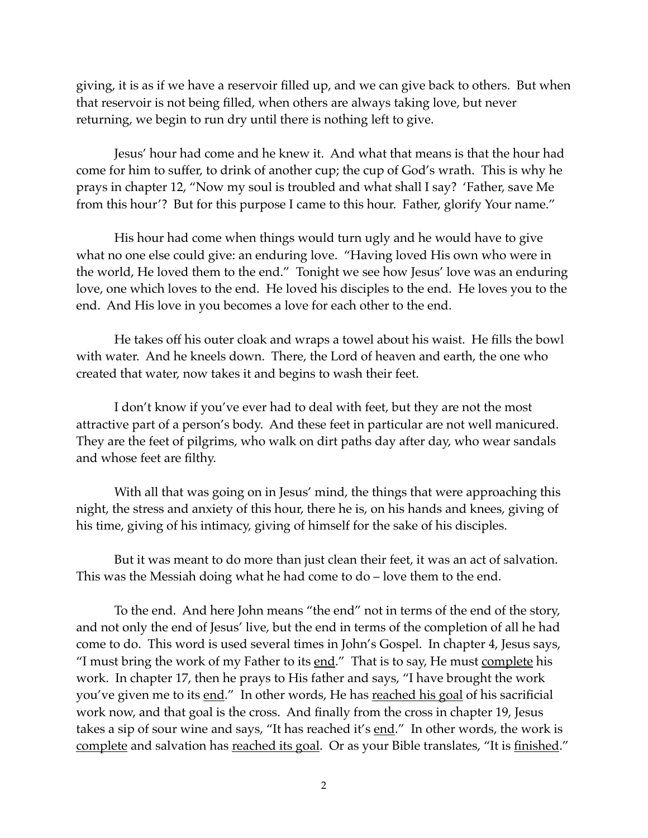giving, it is as if we have a reservoir filled up, and we can give back to others. But when that reservoir is not being filled, when others are always taking love, but never returning, we begin to run dry until there is nothing left to give.

Jesus' hour had come and he knew it. And what that means is that the hour had come for him to suffer, to drink of another cup; the cup of God's wrath. This is why he prays in chapter 12, "Now my soul is troubled and what shall I say? 'Father, save Me from this hour'? But for this purpose I came to this hour. Father, glorify Your name."

His hour had come when things would turn ugly and he would have to give what no one else could give: an enduring love. "Having loved His own who were in the world, He loved them to the end." Tonight we see how Jesus' love was an enduring love, one which loves to the end. He loved his disciples to the end. He loves you to the end. And His love in you becomes a love for each other to the end.

He takes off his outer cloak and wraps a towel about his waist. He fills the bowl with water. And he kneels down. There, the Lord of heaven and earth, the one who created that water, now takes it and begins to wash their feet.

I don't know if you've ever had to deal with feet, but they are not the most attractive part of a person's body. And these feet in particular are not well manicured. They are the feet of pilgrims, who walk on dirt paths day after day, who wear sandals and whose feet are filthy.

With all that was going on in Jesus' mind, the things that were approaching this night, the stress and anxiety of this hour, there he is, on his hands and knees, giving of his time, giving of his intimacy, giving of himself for the sake of his disciples.

But it was meant to do more than just clean their feet, it was an act of salvation. This was the Messiah doing what he had come to do – love them to the end.

To the end. And here John means "the end" not in terms of the end of the story, and not only the end of Jesus' live, but the end in terms of the completion of all he had come to do. This word is used several times in John's Gospel. In chapter 4, Jesus says, "I must bring the work of my Father to its  $end$ ." That is to say, He must  $complete$  his</u></u> work. In chapter 17, then he prays to His father and says, "I have brought the work you've given me to its end." In other words, He has reached his goal of his sacrificial work now, and that goal is the cross. And finally from the cross in chapter 19, Jesus takes a sip of sour wine and says, "It has reached it's end." In other words, the work is complete and salvation has reached its goal. Or as your Bible translates, "It is finished."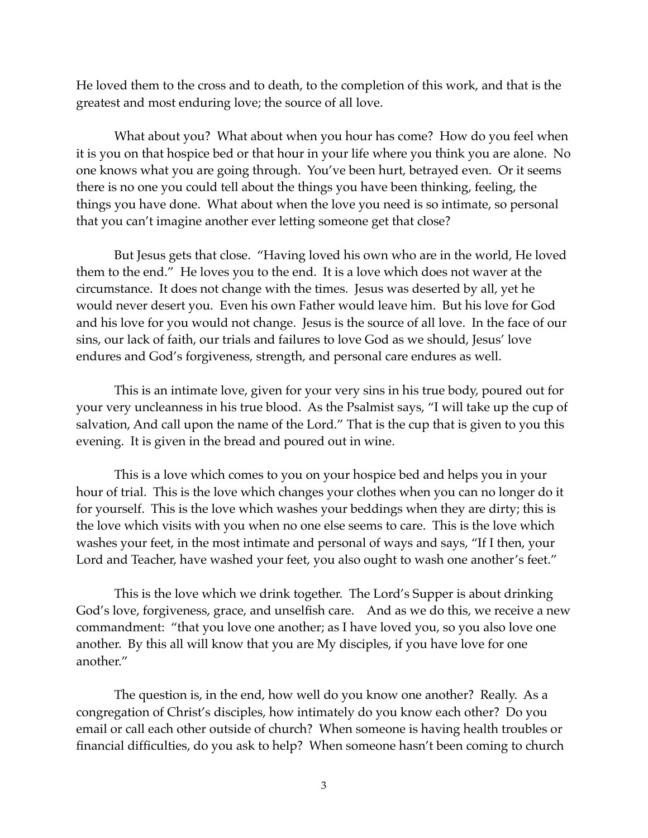He loved them to the cross and to death, to the completion of this work, and that is the greatest and most enduring love; the source of all love.

What about you? What about when you hour has come? How do you feel when it is you on that hospice bed or that hour in your life where you think you are alone. No one knows what you are going through. You've been hurt, betrayed even. Or it seems there is no one you could tell about the things you have been thinking, feeling, the things you have done. What about when the love you need is so intimate, so personal that you can't imagine another ever letting someone get that close?

But Jesus gets that close. "Having loved his own who are in the world, He loved them to the end." He loves you to the end. It is a love which does not waver at the circumstance. It does not change with the times. Jesus was deserted by all, yet he would never desert you. Even his own Father would leave him. But his love for God and his love for you would not change. Jesus is the source of all love. In the face of our sins, our lack of faith, our trials and failures to love God as we should, Jesus' love endures and God's forgiveness, strength, and personal care endures as well.

This is an intimate love, given for your very sins in his true body, poured out for your very uncleanness in his true blood. As the Psalmist says, "I will take up the cup of salvation, And call upon the name of the Lord." That is the cup that is given to you this evening. It is given in the bread and poured out in wine.

This is a love which comes to you on your hospice bed and helps you in your hour of trial. This is the love which changes your clothes when you can no longer do it for yourself. This is the love which washes your beddings when they are dirty; this is the love which visits with you when no one else seems to care. This is the love which washes your feet, in the most intimate and personal of ways and says, "If I then, your Lord and Teacher, have washed your feet, you also ought to wash one another's feet."

This is the love which we drink together. The Lord's Supper is about drinking God's love, forgiveness, grace, and unselfish care. And as we do this, we receive a new commandment: "that you love one another; as I have loved you, so you also love one another. By this all will know that you are My disciples, if you have love for one another."

The question is, in the end, how well do you know one another? Really. As a congregation of Christ's disciples, how intimately do you know each other? Do you email or call each other outside of church? When someone is having health troubles or financial difficulties, do you ask to help? When someone hasn't been coming to church